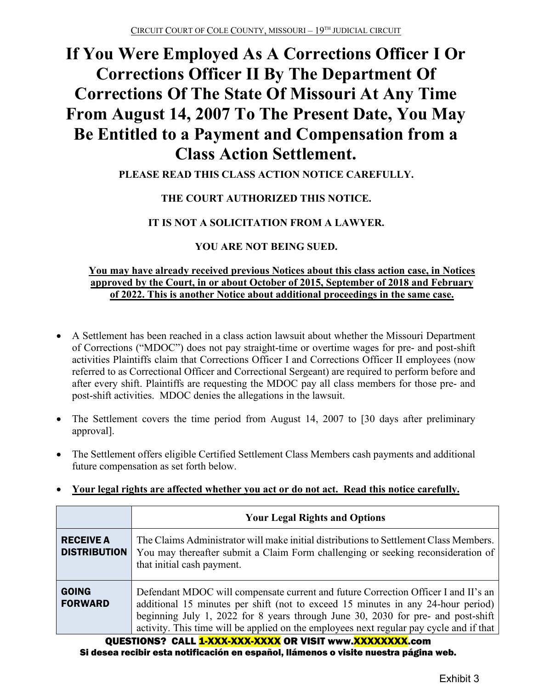# **If You Were Employed As A Corrections Officer I Or Corrections Officer II By The Department Of Corrections Of The State Of Missouri At Any Time From August 14, 2007 To The Present Date, You May Be Entitled to a Payment and Compensation from a Class Action Settlement.**

### **PLEASE READ THIS CLASS ACTION NOTICE CAREFULLY.**

### **THE COURT AUTHORIZED THIS NOTICE.**

### **IT IS NOT A SOLICITATION FROM A LAWYER.**

### **YOU ARE NOT BEING SUED.**

### **You may have already received previous Notices about this class action case, in Notices approved by the Court, in or about October of 2015, September of 2018 and February of 2022. This is another Notice about additional proceedings in the same case.**

- A Settlement has been reached in a class action lawsuit about whether the Missouri Department of Corrections ("MDOC") does not pay straight-time or overtime wages for pre- and post-shift activities Plaintiffs claim that Corrections Officer I and Corrections Officer II employees (now referred to as Correctional Officer and Correctional Sergeant) are required to perform before and after every shift. Plaintiffs are requesting the MDOC pay all class members for those pre- and post-shift activities. MDOC denies the allegations in the lawsuit.
- The Settlement covers the time period from August 14, 2007 to [30 days after preliminary approval].
- The Settlement offers eligible Certified Settlement Class Members cash payments and additional future compensation as set forth below.

|                                         | <b>Your Legal Rights and Options</b>                                                                                                                                                                                                                                                                                                                  |  |
|-----------------------------------------|-------------------------------------------------------------------------------------------------------------------------------------------------------------------------------------------------------------------------------------------------------------------------------------------------------------------------------------------------------|--|
| <b>RECEIVE A</b><br><b>DISTRIBUTION</b> | The Claims Administrator will make initial distributions to Settlement Class Members.<br>You may thereafter submit a Claim Form challenging or seeking reconsideration of<br>that initial cash payment.                                                                                                                                               |  |
| <b>GOING</b><br><b>FORWARD</b>          | Defendant MDOC will compensate current and future Correction Officer I and II's an<br>additional 15 minutes per shift (not to exceed 15 minutes in any 24-hour period)<br>beginning July 1, 2022 for 8 years through June 30, 2030 for pre- and post-shift<br>activity. This time will be applied on the employees next regular pay cycle and if that |  |

### • **Your legal rights are affected whether you act or do not act. Read this notice carefully.**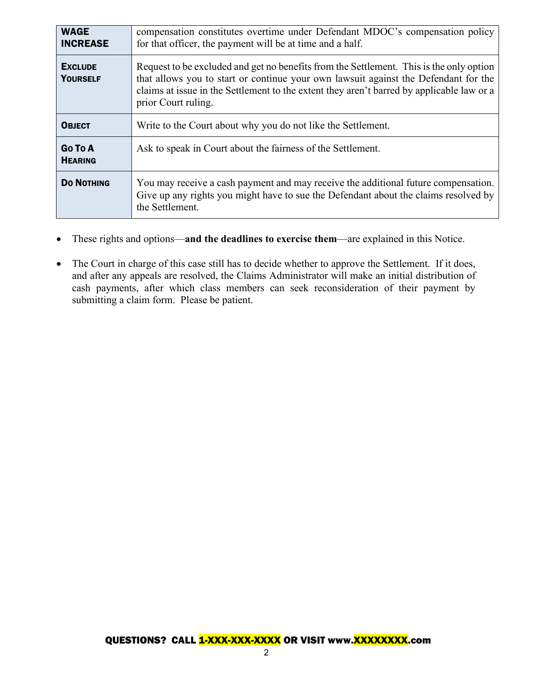| <b>WAGE</b><br><b>INCREASE</b>    | compensation constitutes overtime under Defendant MDOC's compensation policy<br>for that officer, the payment will be at time and a half.                                                                                                                                                          |
|-----------------------------------|----------------------------------------------------------------------------------------------------------------------------------------------------------------------------------------------------------------------------------------------------------------------------------------------------|
| <b>EXCLUDE</b><br><b>YOURSELF</b> | Request to be excluded and get no benefits from the Settlement. This is the only option<br>that allows you to start or continue your own lawsuit against the Defendant for the<br>claims at issue in the Settlement to the extent they aren't barred by applicable law or a<br>prior Court ruling. |
| <b>OBJECT</b>                     | Write to the Court about why you do not like the Settlement.                                                                                                                                                                                                                                       |
| Go To A<br><b>HEARING</b>         | Ask to speak in Court about the fairness of the Settlement.                                                                                                                                                                                                                                        |
| <b>DO NOTHING</b>                 | You may receive a cash payment and may receive the additional future compensation.<br>Give up any rights you might have to sue the Defendant about the claims resolved by<br>the Settlement.                                                                                                       |

- These rights and options—**and the deadlines to exercise them**—are explained in this Notice.
- The Court in charge of this case still has to decide whether to approve the Settlement. If it does, and after any appeals are resolved, the Claims Administrator will make an initial distribution of cash payments, after which class members can seek reconsideration of their payment by submitting a claim form. Please be patient.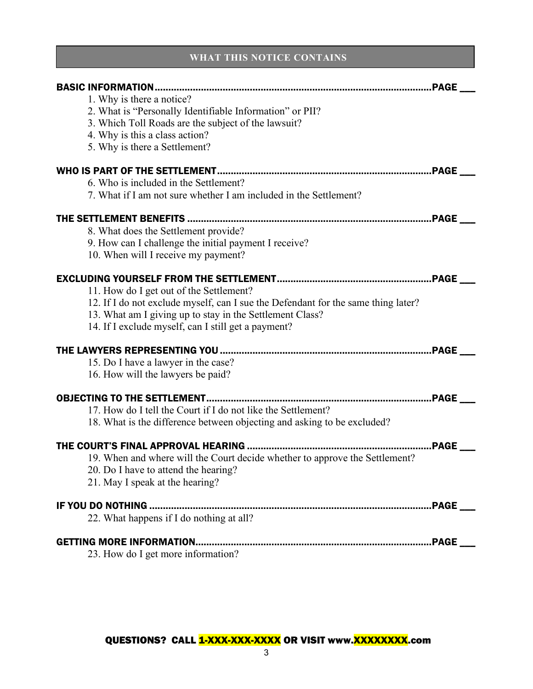### **WHAT THIS NOTICE CONTAINS**

| 1. Why is there a notice?<br>2. What is "Personally Identifiable Information" or PII?<br>3. Which Toll Roads are the subject of the lawsuit?<br>4. Why is this a class action?<br>5. Why is there a Settlement?<br>6. Who is included in the Settlement?<br>7. What if I am not sure whether I am included in the Settlement?<br>THE SETTLEMENT BENEFITS<br>8. What does the Settlement provide?<br>9. How can I challenge the initial payment I receive?<br>10. When will I receive my payment?<br>11. How do I get out of the Settlement?<br>12. If I do not exclude myself, can I sue the Defendant for the same thing later?<br>13. What am I giving up to stay in the Settlement Class?<br>14. If I exclude myself, can I still get a payment? |
|-----------------------------------------------------------------------------------------------------------------------------------------------------------------------------------------------------------------------------------------------------------------------------------------------------------------------------------------------------------------------------------------------------------------------------------------------------------------------------------------------------------------------------------------------------------------------------------------------------------------------------------------------------------------------------------------------------------------------------------------------------|
|                                                                                                                                                                                                                                                                                                                                                                                                                                                                                                                                                                                                                                                                                                                                                     |
|                                                                                                                                                                                                                                                                                                                                                                                                                                                                                                                                                                                                                                                                                                                                                     |
|                                                                                                                                                                                                                                                                                                                                                                                                                                                                                                                                                                                                                                                                                                                                                     |
|                                                                                                                                                                                                                                                                                                                                                                                                                                                                                                                                                                                                                                                                                                                                                     |
|                                                                                                                                                                                                                                                                                                                                                                                                                                                                                                                                                                                                                                                                                                                                                     |
|                                                                                                                                                                                                                                                                                                                                                                                                                                                                                                                                                                                                                                                                                                                                                     |
|                                                                                                                                                                                                                                                                                                                                                                                                                                                                                                                                                                                                                                                                                                                                                     |
|                                                                                                                                                                                                                                                                                                                                                                                                                                                                                                                                                                                                                                                                                                                                                     |
|                                                                                                                                                                                                                                                                                                                                                                                                                                                                                                                                                                                                                                                                                                                                                     |
|                                                                                                                                                                                                                                                                                                                                                                                                                                                                                                                                                                                                                                                                                                                                                     |
|                                                                                                                                                                                                                                                                                                                                                                                                                                                                                                                                                                                                                                                                                                                                                     |
|                                                                                                                                                                                                                                                                                                                                                                                                                                                                                                                                                                                                                                                                                                                                                     |
|                                                                                                                                                                                                                                                                                                                                                                                                                                                                                                                                                                                                                                                                                                                                                     |
|                                                                                                                                                                                                                                                                                                                                                                                                                                                                                                                                                                                                                                                                                                                                                     |
|                                                                                                                                                                                                                                                                                                                                                                                                                                                                                                                                                                                                                                                                                                                                                     |
|                                                                                                                                                                                                                                                                                                                                                                                                                                                                                                                                                                                                                                                                                                                                                     |
|                                                                                                                                                                                                                                                                                                                                                                                                                                                                                                                                                                                                                                                                                                                                                     |
|                                                                                                                                                                                                                                                                                                                                                                                                                                                                                                                                                                                                                                                                                                                                                     |
|                                                                                                                                                                                                                                                                                                                                                                                                                                                                                                                                                                                                                                                                                                                                                     |
| 15. Do I have a lawyer in the case?                                                                                                                                                                                                                                                                                                                                                                                                                                                                                                                                                                                                                                                                                                                 |
| 16. How will the lawyers be paid?                                                                                                                                                                                                                                                                                                                                                                                                                                                                                                                                                                                                                                                                                                                   |
|                                                                                                                                                                                                                                                                                                                                                                                                                                                                                                                                                                                                                                                                                                                                                     |
|                                                                                                                                                                                                                                                                                                                                                                                                                                                                                                                                                                                                                                                                                                                                                     |
| 17. How do I tell the Court if I do not like the Settlement?                                                                                                                                                                                                                                                                                                                                                                                                                                                                                                                                                                                                                                                                                        |
| 18. What is the difference between objecting and asking to be excluded?                                                                                                                                                                                                                                                                                                                                                                                                                                                                                                                                                                                                                                                                             |
|                                                                                                                                                                                                                                                                                                                                                                                                                                                                                                                                                                                                                                                                                                                                                     |
| 19. When and where will the Court decide whether to approve the Settlement?                                                                                                                                                                                                                                                                                                                                                                                                                                                                                                                                                                                                                                                                         |
| 20. Do I have to attend the hearing?                                                                                                                                                                                                                                                                                                                                                                                                                                                                                                                                                                                                                                                                                                                |
| 21. May I speak at the hearing?                                                                                                                                                                                                                                                                                                                                                                                                                                                                                                                                                                                                                                                                                                                     |
|                                                                                                                                                                                                                                                                                                                                                                                                                                                                                                                                                                                                                                                                                                                                                     |
| .PAGE ____                                                                                                                                                                                                                                                                                                                                                                                                                                                                                                                                                                                                                                                                                                                                          |
| 22. What happens if I do nothing at all?                                                                                                                                                                                                                                                                                                                                                                                                                                                                                                                                                                                                                                                                                                            |
| <b>GETTING MORE INFORMATION.</b>                                                                                                                                                                                                                                                                                                                                                                                                                                                                                                                                                                                                                                                                                                                    |
| 23. How do I get more information?                                                                                                                                                                                                                                                                                                                                                                                                                                                                                                                                                                                                                                                                                                                  |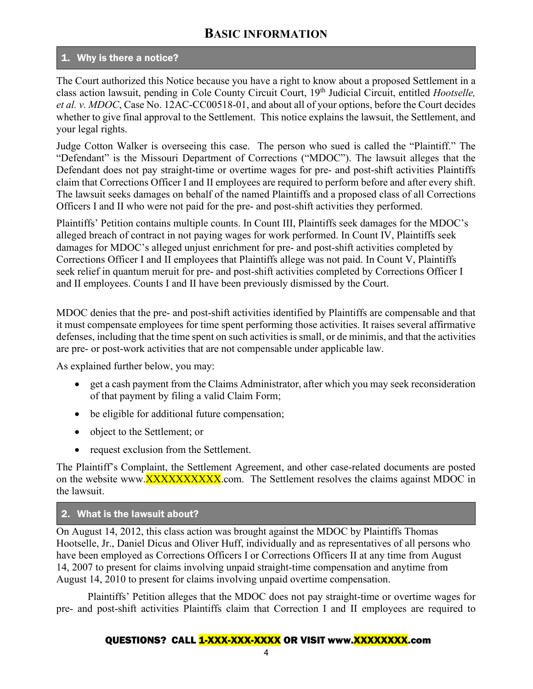# **BASIC INFORMATION**

### 1. Why is there a notice?

The Court authorized this Notice because you have a right to know about a proposed Settlement in a class action lawsuit, pending in Cole County Circuit Court, 19th Judicial Circuit, entitled *Hootselle, et al. v. MDOC*, Case No. 12AC-CC00518-01, and about all of your options, before the Court decides whether to give final approval to the Settlement. This notice explains the lawsuit, the Settlement, and your legal rights.

Judge Cotton Walker is overseeing this case. The person who sued is called the "Plaintiff." The "Defendant" is the Missouri Department of Corrections ("MDOC"). The lawsuit alleges that the Defendant does not pay straight-time or overtime wages for pre- and post-shift activities Plaintiffs claim that Corrections Officer I and II employees are required to perform before and after every shift. The lawsuit seeks damages on behalf of the named Plaintiffs and a proposed class of all Corrections Officers I and II who were not paid for the pre- and post-shift activities they performed.

Plaintiffs' Petition contains multiple counts. In Count III, Plaintiffs seek damages for the MDOC's alleged breach of contract in not paying wages for work performed. In Count IV, Plaintiffs seek damages for MDOC's alleged unjust enrichment for pre- and post-shift activities completed by Corrections Officer I and II employees that Plaintiffs allege was not paid. In Count V, Plaintiffs seek relief in quantum meruit for pre- and post-shift activities completed by Corrections Officer I and II employees. Counts I and II have been previously dismissed by the Court.

MDOC denies that the pre- and post-shift activities identified by Plaintiffs are compensable and that it must compensate employees for time spent performing those activities. It raises several affirmative defenses, including that the time spent on such activities is small, or de minimis, and that the activities are pre- or post-work activities that are not compensable under applicable law.

As explained further below, you may:

- get a cash payment from the Claims Administrator, after which you may seek reconsideration of that payment by filing a valid Claim Form;
- be eligible for additional future compensation;
- object to the Settlement; or
- request exclusion from the Settlement.

The Plaintiff's Complaint, the Settlement Agreement, and other case-related documents are posted on the website www.**XXXXXXXXXXX.**com. The Settlement resolves the claims against MDOC in the lawsuit.

### 2. What is the lawsuit about?

On August 14, 2012, this class action was brought against the MDOC by Plaintiffs Thomas Hootselle, Jr., Daniel Dicus and Oliver Huff, individually and as representatives of all persons who have been employed as Corrections Officers I or Corrections Officers II at any time from August 14, 2007 to present for claims involving unpaid straight-time compensation and anytime from August 14, 2010 to present for claims involving unpaid overtime compensation.

Plaintiffs' Petition alleges that the MDOC does not pay straight-time or overtime wages for pre- and post-shift activities Plaintiffs claim that Correction I and II employees are required to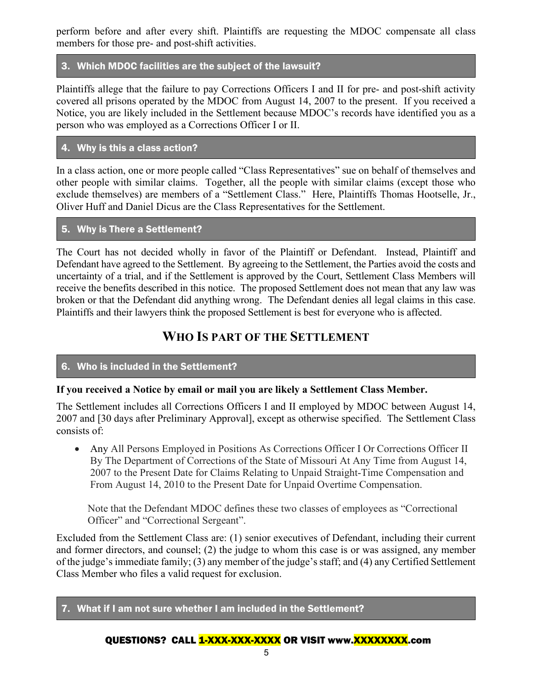perform before and after every shift. Plaintiffs are requesting the MDOC compensate all class members for those pre- and post-shift activities.

### 3. Which MDOC facilities are the subject of the lawsuit?

Plaintiffs allege that the failure to pay Corrections Officers I and II for pre- and post-shift activity covered all prisons operated by the MDOC from August 14, 2007 to the present. If you received a Notice, you are likely included in the Settlement because MDOC's records have identified you as a person who was employed as a Corrections Officer I or II.

### 4. Why is this a class action?

In a class action, one or more people called "Class Representatives" sue on behalf of themselves and other people with similar claims. Together, all the people with similar claims (except those who exclude themselves) are members of a "Settlement Class." Here, Plaintiffs Thomas Hootselle, Jr., Oliver Huff and Daniel Dicus are the Class Representatives for the Settlement.

### 5. Why is There a Settlement?

The Court has not decided wholly in favor of the Plaintiff or Defendant. Instead, Plaintiff and Defendant have agreed to the Settlement. By agreeing to the Settlement, the Parties avoid the costs and uncertainty of a trial, and if the Settlement is approved by the Court, Settlement Class Members will receive the benefits described in this notice. The proposed Settlement does not mean that any law was broken or that the Defendant did anything wrong. The Defendant denies all legal claims in this case. Plaintiffs and their lawyers think the proposed Settlement is best for everyone who is affected.

# **WHO IS PART OF THE SETTLEMENT**

### 6. Who is included in the Settlement?

### **If you received a Notice by email or mail you are likely a Settlement Class Member.**

The Settlement includes all Corrections Officers I and II employed by MDOC between August 14, 2007 and [30 days after Preliminary Approval], except as otherwise specified. The Settlement Class consists of:

• Any All Persons Employed in Positions As Corrections Officer I Or Corrections Officer II By The Department of Corrections of the State of Missouri At Any Time from August 14, 2007 to the Present Date for Claims Relating to Unpaid Straight-Time Compensation and From August 14, 2010 to the Present Date for Unpaid Overtime Compensation.

Note that the Defendant MDOC defines these two classes of employees as "Correctional Officer" and "Correctional Sergeant".

Excluded from the Settlement Class are: (1) senior executives of Defendant, including their current and former directors, and counsel; (2) the judge to whom this case is or was assigned, any member of the judge's immediate family; (3) any member of the judge's staff; and (4) any Certified Settlement Class Member who files a valid request for exclusion.

### 7. What if I am not sure whether I am included in the Settlement?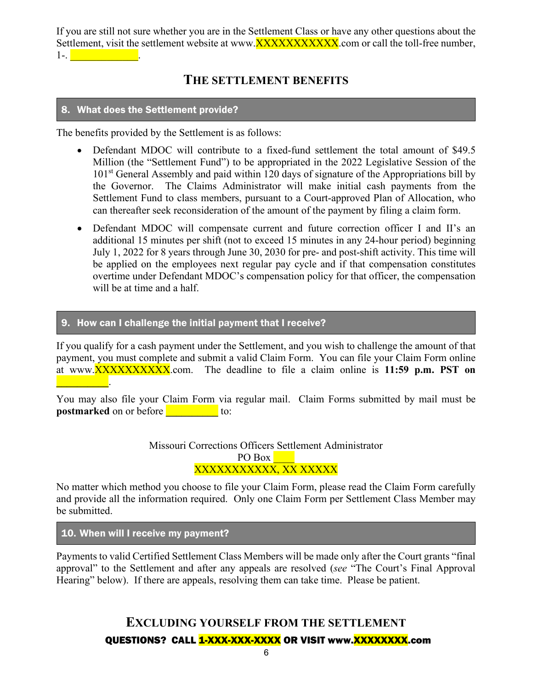If you are still not sure whether you are in the Settlement Class or have any other questions about the Settlement, visit the settlement website at www.**XXXXXXXXXXX.**com or call the toll-free number,  $1-$ .  $\blacksquare$ 

# **THE SETTLEMENT BENEFITS**

### 8. What does the Settlement provide?

The benefits provided by the Settlement is as follows:

- Defendant MDOC will contribute to a fixed-fund settlement the total amount of \$49.5 Million (the "Settlement Fund") to be appropriated in the 2022 Legislative Session of the 101<sup>st</sup> General Assembly and paid within 120 days of signature of the Appropriations bill by the Governor. The Claims Administrator will make initial cash payments from the Settlement Fund to class members, pursuant to a Court-approved Plan of Allocation, who can thereafter seek reconsideration of the amount of the payment by filing a claim form.
- Defendant MDOC will compensate current and future correction officer I and II's an additional 15 minutes per shift (not to exceed 15 minutes in any 24-hour period) beginning July 1, 2022 for 8 years through June 30, 2030 for pre- and post-shift activity. This time will be applied on the employees next regular pay cycle and if that compensation constitutes overtime under Defendant MDOC's compensation policy for that officer, the compensation will be at time and a half.

#### 9. How can I challenge the initial payment that I receive?

If you qualify for a cash payment under the Settlement, and you wish to challenge the amount of that payment, you must complete and submit a valid Claim Form. You can file your Claim Form online at www.XXXXXXXXXX.com. The deadline to file a claim online is **11:59 p.m. PST on \_\_\_\_\_\_\_\_\_\_**.

You may also file your Claim Form via regular mail. Claim Forms submitted by mail must be **postmarked** on or before **the contract of the state** to:

> Missouri Corrections Officers Settlement Administrator PO Box **Lines** XXXXXXXXXXX, XX XXXXX

No matter which method you choose to file your Claim Form, please read the Claim Form carefully and provide all the information required. Only one Claim Form per Settlement Class Member may be submitted.

10. When will I receive my payment?

Payments to valid Certified Settlement Class Members will be made only after the Court grants "final approval" to the Settlement and after any appeals are resolved (*see* "The Court's Final Approval Hearing" below). If there are appeals, resolving them can take time. Please be patient.

# QUESTIONS? CALL 1-XXX-XXX-XXXX OR VISIT www.XXXXXXXXX.com **EXCLUDING YOURSELF FROM THE SETTLEMENT**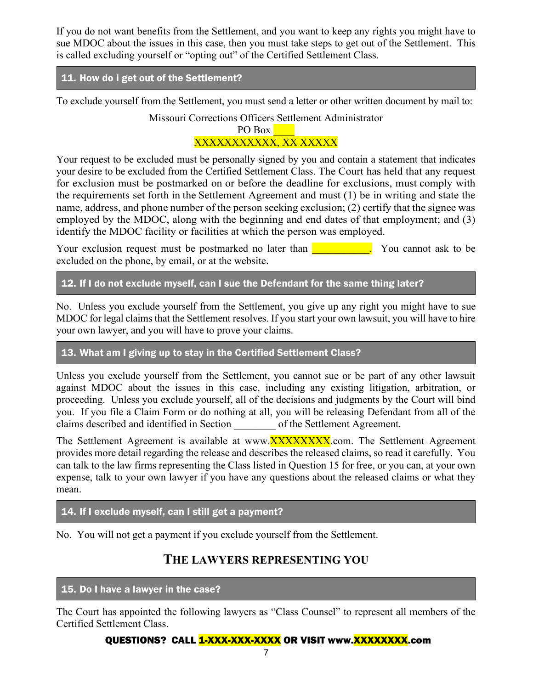If you do not want benefits from the Settlement, and you want to keep any rights you might have to sue MDOC about the issues in this case, then you must take steps to get out of the Settlement. This is called excluding yourself or "opting out" of the Certified Settlement Class.

### 11. How do I get out of the Settlement?

To exclude yourself from the Settlement, you must send a letter or other written document by mail to:

Missouri Corrections Officers Settlement Administrator

### PO Box XXXXXXXXXXX, XX XXXXX

Your request to be excluded must be personally signed by you and contain a statement that indicates your desire to be excluded from the Certified Settlement Class. The Court has held that any request for exclusion must be postmarked on or before the deadline for exclusions, must comply with the requirements set forth in the Settlement Agreement and must (1) be in writing and state the name, address, and phone number of the person seeking exclusion; (2) certify that the signee was employed by the MDOC, along with the beginning and end dates of that employment; and (3) identify the MDOC facility or facilities at which the person was employed.

Your exclusion request must be postmarked no later than **Table 10 and 1** You cannot ask to be excluded on the phone, by email, or at the website.

### 12. If I do not exclude myself, can I sue the Defendant for the same thing later?

No. Unless you exclude yourself from the Settlement, you give up any right you might have to sue MDOC for legal claims that the Settlement resolves. If you start your own lawsuit, you will have to hire your own lawyer, and you will have to prove your claims.

### 13. What am I giving up to stay in the Certified Settlement Class?

Unless you exclude yourself from the Settlement, you cannot sue or be part of any other lawsuit against MDOC about the issues in this case, including any existing litigation, arbitration, or proceeding. Unless you exclude yourself, all of the decisions and judgments by the Court will bind you. If you file a Claim Form or do nothing at all, you will be releasing Defendant from all of the claims described and identified in Section \_\_\_\_\_\_\_\_ of the Settlement Agreement.

The Settlement Agreement is available at www.**XXXXXXXX.**com. The Settlement Agreement provides more detail regarding the release and describes the released claims, so read it carefully. You can talk to the law firms representing the Class listed in Question 15 for free, or you can, at your own expense, talk to your own lawyer if you have any questions about the released claims or what they mean.

### 14. If I exclude myself, can I still get a payment?

No. You will not get a payment if you exclude yourself from the Settlement.

# **THE LAWYERS REPRESENTING YOU**

### 15. Do I have a lawyer in the case?

The Court has appointed the following lawyers as "Class Counsel" to represent all members of the Certified Settlement Class.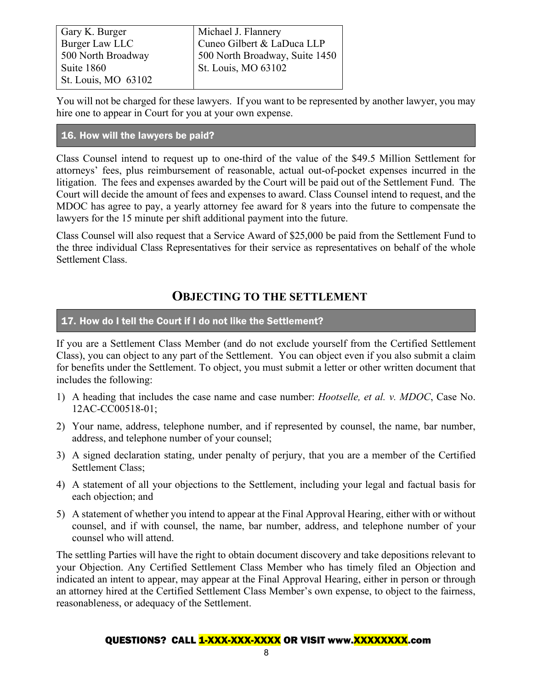| Gary K. Burger      | Michael J. Flannery            |  |
|---------------------|--------------------------------|--|
| Burger Law LLC      | Cuneo Gilbert & LaDuca LLP     |  |
| 500 North Broadway  | 500 North Broadway, Suite 1450 |  |
| Suite 1860          | <b>St. Louis, MO 63102</b>     |  |
| St. Louis, MO 63102 |                                |  |

You will not be charged for these lawyers. If you want to be represented by another lawyer, you may hire one to appear in Court for you at your own expense.

### 16. How will the lawyers be paid?

Class Counsel intend to request up to one-third of the value of the \$49.5 Million Settlement for attorneys' fees, plus reimbursement of reasonable, actual out-of-pocket expenses incurred in the litigation. The fees and expenses awarded by the Court will be paid out of the Settlement Fund. The Court will decide the amount of fees and expenses to award. Class Counsel intend to request, and the MDOC has agree to pay, a yearly attorney fee award for 8 years into the future to compensate the lawyers for the 15 minute per shift additional payment into the future.

Class Counsel will also request that a Service Award of \$25,000 be paid from the Settlement Fund to the three individual Class Representatives for their service as representatives on behalf of the whole Settlement Class.

# **OBJECTING TO THE SETTLEMENT**

### 17. How do I tell the Court if I do not like the Settlement?

If you are a Settlement Class Member (and do not exclude yourself from the Certified Settlement Class), you can object to any part of the Settlement. You can object even if you also submit a claim for benefits under the Settlement. To object, you must submit a letter or other written document that includes the following:

- 1) A heading that includes the case name and case number: *Hootselle, et al. v. MDOC*, Case No. 12AC-CC00518-01;
- 2) Your name, address, telephone number, and if represented by counsel, the name, bar number, address, and telephone number of your counsel;
- 3) A signed declaration stating, under penalty of perjury, that you are a member of the Certified Settlement Class;
- 4) A statement of all your objections to the Settlement, including your legal and factual basis for each objection; and
- 5) A statement of whether you intend to appear at the Final Approval Hearing, either with or without counsel, and if with counsel, the name, bar number, address, and telephone number of your counsel who will attend.

The settling Parties will have the right to obtain document discovery and take depositions relevant to your Objection. Any Certified Settlement Class Member who has timely filed an Objection and indicated an intent to appear, may appear at the Final Approval Hearing, either in person or through an attorney hired at the Certified Settlement Class Member's own expense, to object to the fairness, reasonableness, or adequacy of the Settlement.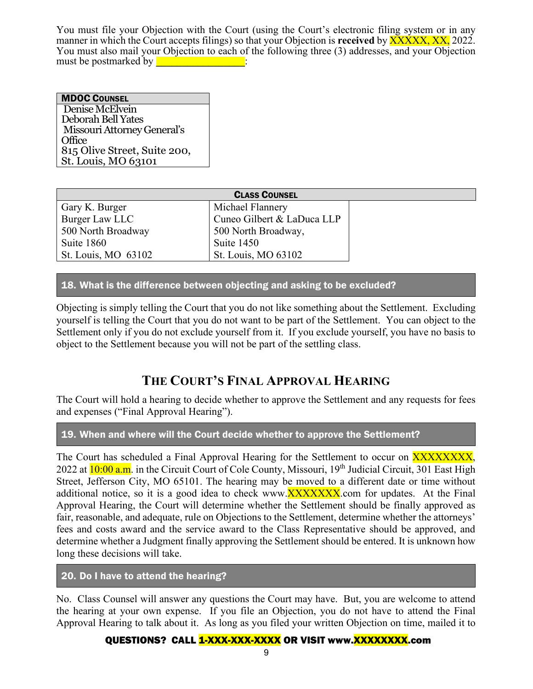You must file your Objection with the Court (using the Court's electronic filing system or in any manner in which the Court accepts filings) so that your Objection is **received** by XXXXX, XX, 2022. You must also mail your Objection to each of the following three (3) addresses, and your Objection must be postmarked by **with a** set of the set of the set of the set of the set of the set of the set of the set of the set of the set of the set of the set of the set of the set of the set of the set of the set of the set

MDOC COUNSEL Denise McElvein Deborah Bell Yates Missouri Attorney General's Office 815 Olive Street, Suite 200, St. Louis, MO 63101

| <b>CLASS COUNSEL</b> |                            |  |  |  |
|----------------------|----------------------------|--|--|--|
| Gary K. Burger       | Michael Flannery           |  |  |  |
| Burger Law LLC       | Cuneo Gilbert & LaDuca LLP |  |  |  |
| 500 North Broadway   | 500 North Broadway,        |  |  |  |
| Suite 1860           | Suite 1450                 |  |  |  |
| St. Louis, MO 63102  | St. Louis, MO 63102        |  |  |  |

18. What is the difference between objecting and asking to be excluded?

Objecting is simply telling the Court that you do not like something about the Settlement. Excluding yourself is telling the Court that you do not want to be part of the Settlement. You can object to the Settlement only if you do not exclude yourself from it. If you exclude yourself, you have no basis to object to the Settlement because you will not be part of the settling class.

# **THE COURT'S FINAL APPROVAL HEARING**

The Court will hold a hearing to decide whether to approve the Settlement and any requests for fees and expenses ("Final Approval Hearing").

19. When and where will the Court decide whether to approve the Settlement?

The Court has scheduled a Final Approval Hearing for the Settlement to occur on XXXXXXXXX, 2022 at 10:00 a.m. in the Circuit Court of Cole County, Missouri, 19<sup>th</sup> Judicial Circuit, 301 East High Street, Jefferson City, MO 65101. The hearing may be moved to a different date or time without additional notice, so it is a good idea to check www.**XXXXXXX.**com for updates. At the Final Approval Hearing, the Court will determine whether the Settlement should be finally approved as fair, reasonable, and adequate, rule on Objections to the Settlement, determine whether the attorneys' fees and costs award and the service award to the Class Representative should be approved, and determine whether a Judgment finally approving the Settlement should be entered. It is unknown how long these decisions will take.

20. Do I have to attend the hearing?

No. Class Counsel will answer any questions the Court may have. But, you are welcome to attend the hearing at your own expense. If you file an Objection, you do not have to attend the Final Approval Hearing to talk about it. As long as you filed your written Objection on time, mailed it to